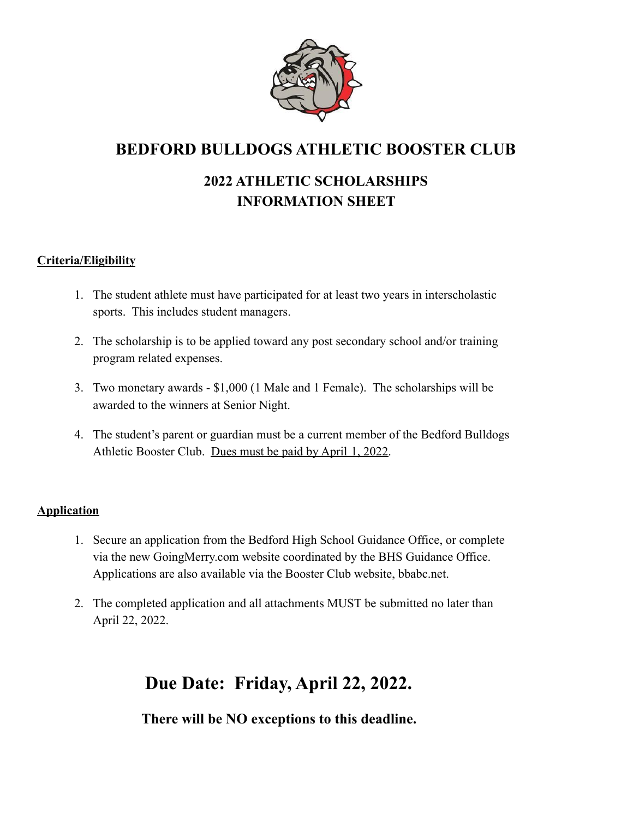

## **BEDFORD BULLDOGS ATHLETIC BOOSTER CLUB**

### **2022 ATHLETIC SCHOLARSHIPS INFORMATION SHEET**

#### **Criteria/Eligibility**

- 1. The student athlete must have participated for at least two years in interscholastic sports. This includes student managers.
- 2. The scholarship is to be applied toward any post secondary school and/or training program related expenses.
- 3. Two monetary awards \$1,000 (1 Male and 1 Female). The scholarships will be awarded to the winners at Senior Night.
- 4. The student's parent or guardian must be a current member of the Bedford Bulldogs Athletic Booster Club. Dues must be paid by April 1, 2022.

#### **Application**

- 1. Secure an application from the Bedford High School Guidance Office, or complete via the new GoingMerry.com website coordinated by the BHS Guidance Office. Applications are also available via the Booster Club website, bbabc.net.
- 2. The completed application and all attachments MUST be submitted no later than April 22, 2022.

# **Due Date: Friday, April 22, 2022.**

**There will be NO exceptions to this deadline.**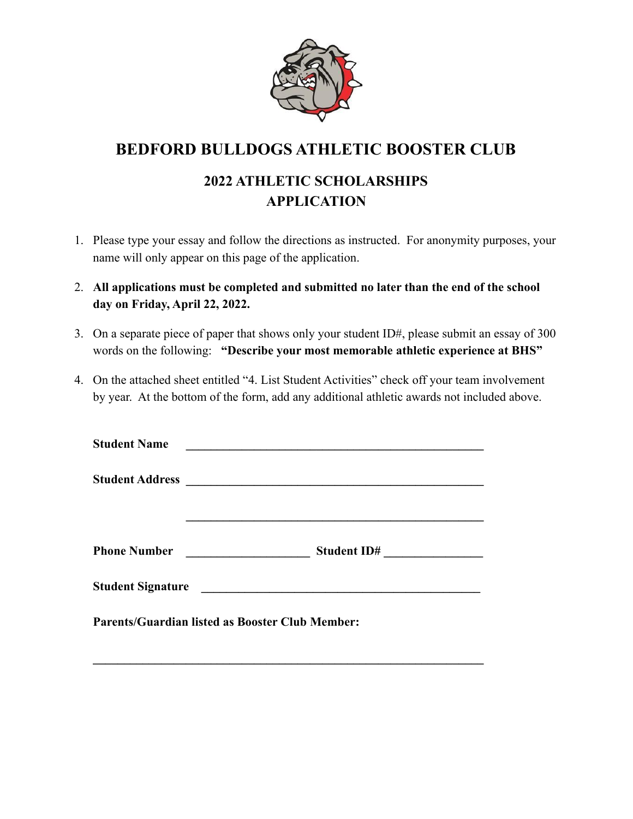

## **BEDFORD BULLDOGS ATHLETIC BOOSTER CLUB**

### **2022 ATHLETIC SCHOLARSHIPS APPLICATION**

- 1. Please type your essay and follow the directions as instructed. For anonymity purposes, your name will only appear on this page of the application.
- 2. **All applications must be completed and submitted no later than the end of the school day on Friday, April 22, 2022.**
- 3. On a separate piece of paper that shows only your student ID#, please submit an essay of 300 words on the following: **"Describe your most memorable athletic experience at BHS"**
- 4. On the attached sheet entitled "4. List Student Activities" check off your team involvement by year. At the bottom of the form, add any additional athletic awards not included above.

| <b>Student Name</b> | <u> 1989 - Johann Stein, mars an de Brazilian (b. 1989)</u> |  |  |  |  |  |
|---------------------|-------------------------------------------------------------|--|--|--|--|--|
|                     |                                                             |  |  |  |  |  |
|                     |                                                             |  |  |  |  |  |
| <b>Phone Number</b> | Student ID#<br><u> 1990 - John Stone, mars et al. (</u>     |  |  |  |  |  |
| Student Signature   |                                                             |  |  |  |  |  |
|                     | <b>Parents/Guardian listed as Booster Club Member:</b>      |  |  |  |  |  |
|                     |                                                             |  |  |  |  |  |